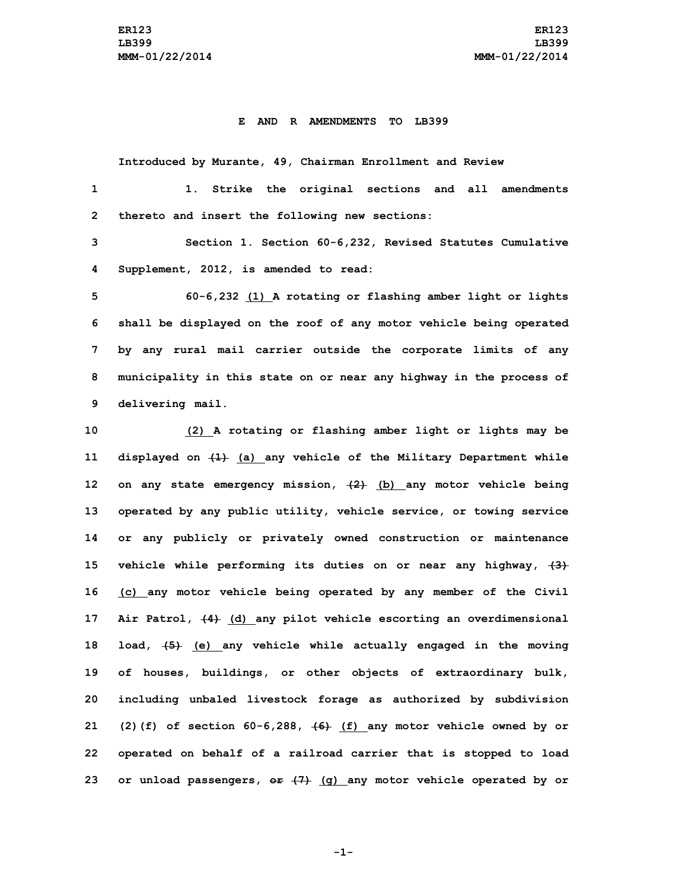## **E AND R AMENDMENTS TO LB399**

**Introduced by Murante, 49, Chairman Enrollment and Review**

 **1. Strike the original sections and all amendments thereto and insert the following new sections: Section 1. Section 60-6,232, Revised Statutes Cumulative Supplement, 2012, is amended to read: 60-6,232 (1) <sup>A</sup> rotating or flashing amber light or lights shall be displayed on the roof of any motor vehicle being operated by any rural mail carrier outside the corporate limits of any municipality in this state on or near any highway in the process of delivering mail. (2) <sup>A</sup> rotating or flashing amber light or lights may be displayed on (1) (a) any vehicle of the Military Department while on any state emergency mission, (2) (b) any motor vehicle being operated by any public utility, vehicle service, or towing service**

 **or any publicly or privately owned construction or maintenance vehicle while performing its duties on or near any highway, (3) (c) any motor vehicle being operated by any member of the Civil Air Patrol, (4) (d) any pilot vehicle escorting an overdimensional load, (5) (e) any vehicle while actually engaged in the moving of houses, buildings, or other objects of extraordinary bulk, including unbaled livestock forage as authorized by subdivision (2)(f) of section 60-6,288, (6) (f) any motor vehicle owned by or operated on behalf of <sup>a</sup> railroad carrier that is stopped to load or unload passengers, or (7) (g) any motor vehicle operated by or**

**-1-**